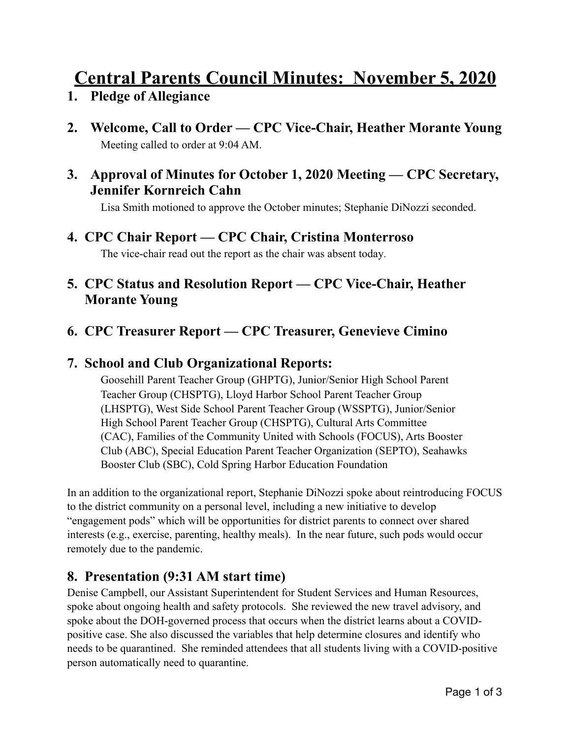# **Central Parents Council Minutes: November 5, 2020**

- **1. Pledge of Allegiance**
- **2. Welcome, Call to Order CPC Vice-Chair, Heather Morante Young**  Meeting called to order at 9:04 AM.

#### **3. Approval of Minutes for October 1, 2020 Meeting — CPC Secretary, Jennifer Kornreich Cahn**

Lisa Smith motioned to approve the October minutes; Stephanie DiNozzi seconded.

## **4. CPC Chair Report — CPC Chair, Cristina Monterroso**

The vice-chair read out the report as the chair was absent today.

## **5. CPC Status and Resolution Report — CPC Vice-Chair, Heather Morante Young**

## **6. CPC Treasurer Report — CPC Treasurer, Genevieve Cimino**

#### **7. School and Club Organizational Reports:**

Goosehill Parent Teacher Group (GHPTG), Junior/Senior High School Parent Teacher Group (CHSPTG), Lloyd Harbor School Parent Teacher Group (LHSPTG), West Side School Parent Teacher Group (WSSPTG), Junior/Senior High School Parent Teacher Group (CHSPTG), Cultural Arts Committee (CAC), Families of the Community United with Schools (FOCUS), Arts Booster Club (ABC), Special Education Parent Teacher Organization (SEPTO), Seahawks Booster Club (SBC), Cold Spring Harbor Education Foundation

In an addition to the organizational report, Stephanie DiNozzi spoke about reintroducing FOCUS to the district community on a personal level, including a new initiative to develop "engagement pods" which will be opportunities for district parents to connect over shared interests (e.g., exercise, parenting, healthy meals). In the near future, such pods would occur remotely due to the pandemic.

#### **8. Presentation (9:31 AM start time)**

Denise Campbell, our Assistant Superintendent for Student Services and Human Resources, spoke about ongoing health and safety protocols. She reviewed the new travel advisory, and spoke about the DOH-governed process that occurs when the district learns about a COVIDpositive case. She also discussed the variables that help determine closures and identify who needs to be quarantined. She reminded attendees that all students living with a COVID-positive person automatically need to quarantine.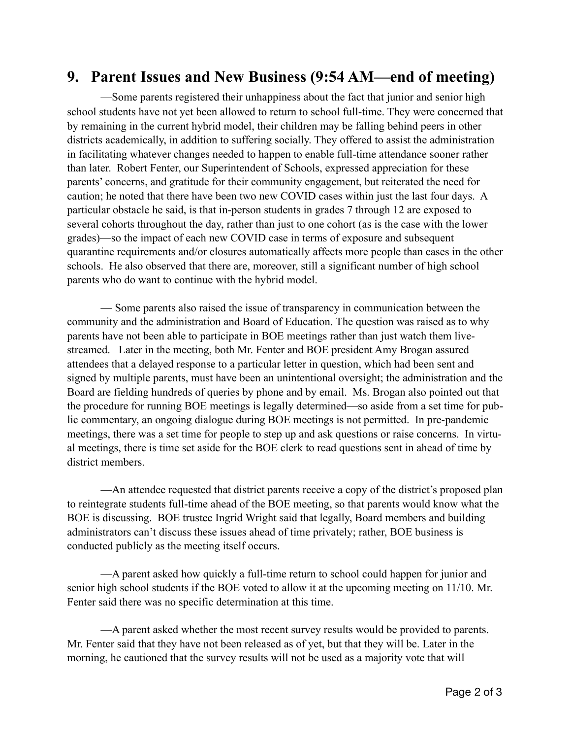# **9. Parent Issues and New Business (9:54 AM—end of meeting)**

—Some parents registered their unhappiness about the fact that junior and senior high school students have not yet been allowed to return to school full-time. They were concerned that by remaining in the current hybrid model, their children may be falling behind peers in other districts academically, in addition to suffering socially. They offered to assist the administration in facilitating whatever changes needed to happen to enable full-time attendance sooner rather than later. Robert Fenter, our Superintendent of Schools, expressed appreciation for these parents' concerns, and gratitude for their community engagement, but reiterated the need for caution; he noted that there have been two new COVID cases within just the last four days. A particular obstacle he said, is that in-person students in grades 7 through 12 are exposed to several cohorts throughout the day, rather than just to one cohort (as is the case with the lower grades)—so the impact of each new COVID case in terms of exposure and subsequent quarantine requirements and/or closures automatically affects more people than cases in the other schools. He also observed that there are, moreover, still a significant number of high school parents who do want to continue with the hybrid model.

 — Some parents also raised the issue of transparency in communication between the community and the administration and Board of Education. The question was raised as to why parents have not been able to participate in BOE meetings rather than just watch them livestreamed. Later in the meeting, both Mr. Fenter and BOE president Amy Brogan assured attendees that a delayed response to a particular letter in question, which had been sent and signed by multiple parents, must have been an unintentional oversight; the administration and the Board are fielding hundreds of queries by phone and by email. Ms. Brogan also pointed out that the procedure for running BOE meetings is legally determined—so aside from a set time for public commentary, an ongoing dialogue during BOE meetings is not permitted. In pre-pandemic meetings, there was a set time for people to step up and ask questions or raise concerns. In virtual meetings, there is time set aside for the BOE clerk to read questions sent in ahead of time by district members.

 —An attendee requested that district parents receive a copy of the district's proposed plan to reintegrate students full-time ahead of the BOE meeting, so that parents would know what the BOE is discussing. BOE trustee Ingrid Wright said that legally, Board members and building administrators can't discuss these issues ahead of time privately; rather, BOE business is conducted publicly as the meeting itself occurs.

 —A parent asked how quickly a full-time return to school could happen for junior and senior high school students if the BOE voted to allow it at the upcoming meeting on 11/10. Mr. Fenter said there was no specific determination at this time.

 —A parent asked whether the most recent survey results would be provided to parents. Mr. Fenter said that they have not been released as of yet, but that they will be. Later in the morning, he cautioned that the survey results will not be used as a majority vote that will